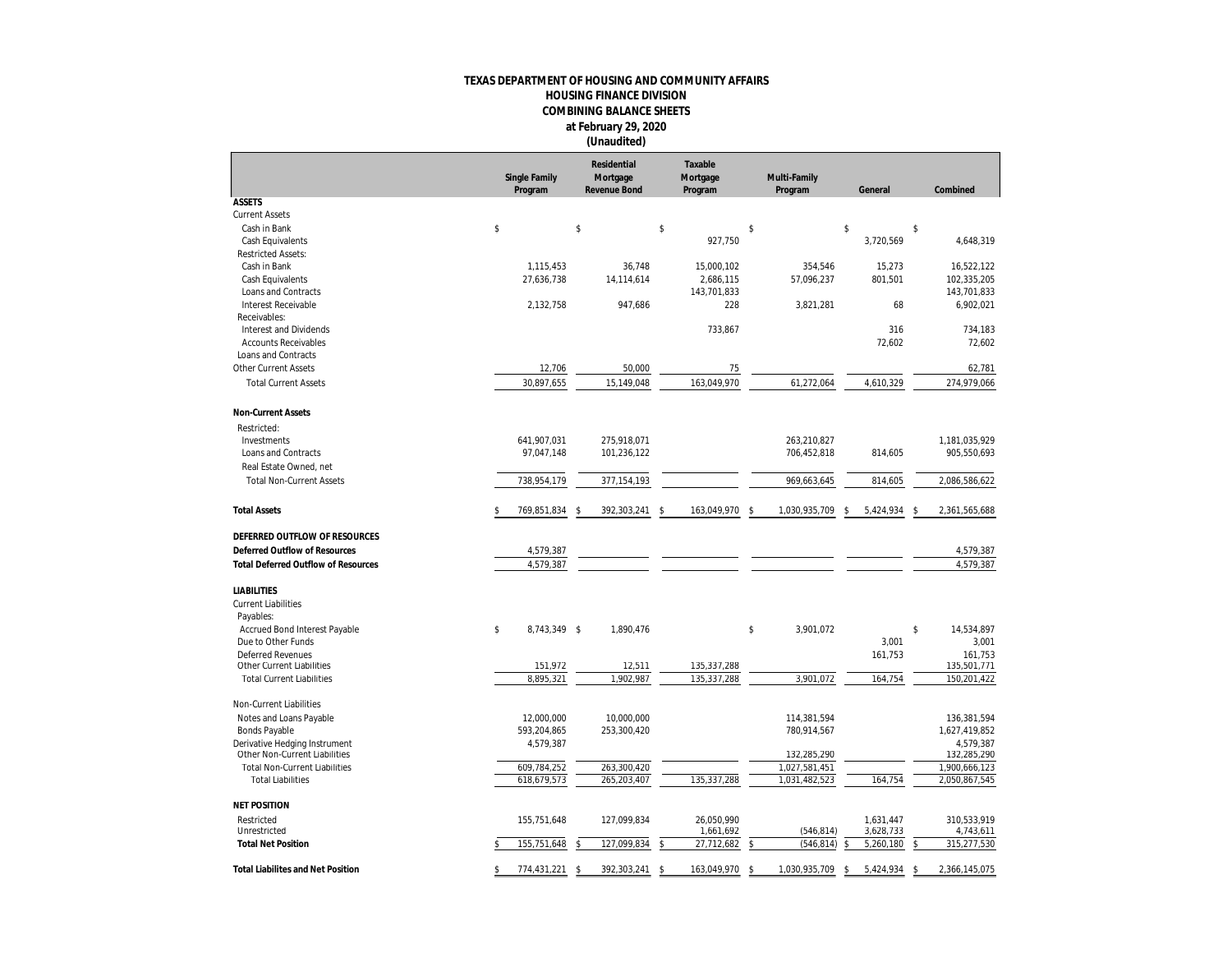## **TEXAS DEPARTMENT OF HOUSING AND COMMUNITY AFFAIRS HOUSING FINANCE DIVISION COMBINING BALANCE SHEETS at February 29, 2020 (Unaudited)**

|                                            | Single Family<br>Program |               | Residential<br>Mortgage<br>Revenue Bond |    | Taxable<br>Mortgage<br>Program |    | Multi-Family<br>Program |      | General   |    | Combined      |
|--------------------------------------------|--------------------------|---------------|-----------------------------------------|----|--------------------------------|----|-------------------------|------|-----------|----|---------------|
| <b>ASSETS</b>                              |                          |               |                                         |    |                                |    |                         |      |           |    |               |
| <b>Current Assets</b>                      |                          |               |                                         |    |                                |    |                         |      |           |    |               |
| Cash in Bank                               | \$                       | \$            |                                         | \$ |                                | \$ |                         | \$   |           | \$ |               |
| Cash Equivalents                           |                          |               |                                         |    | 927,750                        |    |                         |      | 3,720,569 |    | 4,648,319     |
| <b>Restricted Assets:</b>                  |                          |               |                                         |    |                                |    |                         |      |           |    |               |
| Cash in Bank                               | 1,115,453                |               | 36,748                                  |    | 15,000,102                     |    | 354,546                 |      | 15,273    |    | 16,522,122    |
| Cash Equivalents                           | 27,636,738               |               | 14,114,614                              |    | 2,686,115                      |    | 57,096,237              |      | 801,501   |    | 102,335,205   |
| Loans and Contracts                        |                          |               |                                         |    | 143,701,833                    |    |                         |      |           |    | 143,701,833   |
| <b>Interest Receivable</b><br>Receivables: | 2,132,758                |               | 947,686                                 |    | 228                            |    | 3,821,281               |      | 68        |    | 6,902,021     |
| Interest and Dividends                     |                          |               |                                         |    | 733,867                        |    |                         |      | 316       |    | 734.183       |
| <b>Accounts Receivables</b>                |                          |               |                                         |    |                                |    |                         |      | 72,602    |    | 72,602        |
| Loans and Contracts                        |                          |               |                                         |    |                                |    |                         |      |           |    |               |
| <b>Other Current Assets</b>                | 12,706                   |               | 50,000                                  |    | 75                             |    |                         |      |           |    | 62,781        |
| <b>Total Current Assets</b>                | 30,897,655               |               | 15,149,048                              |    | 163,049,970                    |    | 61,272,064              |      | 4,610,329 |    | 274,979,066   |
|                                            |                          |               |                                         |    |                                |    |                         |      |           |    |               |
| Non-Current Assets                         |                          |               |                                         |    |                                |    |                         |      |           |    |               |
| Restricted:                                |                          |               |                                         |    |                                |    |                         |      |           |    |               |
| Investments                                | 641,907,031              |               | 275,918,071                             |    |                                |    | 263,210,827             |      |           |    | 1,181,035,929 |
| Loans and Contracts                        | 97,047,148               |               | 101,236,122                             |    |                                |    | 706,452,818             |      | 814,605   |    | 905,550,693   |
| Real Estate Owned, net                     |                          |               |                                         |    |                                |    |                         |      |           |    |               |
| <b>Total Non-Current Assets</b>            | 738,954,179              |               | 377, 154, 193                           |    |                                |    | 969,663,645             |      | 814,605   |    | 2,086,586,622 |
| <b>Total Assets</b>                        | 769,851,834              | -\$           | 392,303,241                             | \$ | 163,049,970                    | \$ | 1,030,935,709           | \$   | 5,424,934 | \$ | 2,361,565,688 |
| DEFERRED OUTFLOW OF RESOURCES              |                          |               |                                         |    |                                |    |                         |      |           |    |               |
| Deferred Outflow of Resources              | 4,579,387                |               |                                         |    |                                |    |                         |      |           |    | 4,579,387     |
| <b>Total Deferred Outflow of Resources</b> | 4,579,387                |               |                                         |    |                                |    |                         |      |           |    | 4,579,387     |
| <b>LIABILITIES</b>                         |                          |               |                                         |    |                                |    |                         |      |           |    |               |
| <b>Current Liabilities</b>                 |                          |               |                                         |    |                                |    |                         |      |           |    |               |
| Payables:                                  |                          |               |                                         |    |                                |    |                         |      |           |    |               |
| Accrued Bond Interest Payable              | \$<br>8,743,349 \$       |               | 1,890,476                               |    |                                | \$ | 3,901,072               |      |           | \$ | 14,534,897    |
| Due to Other Funds                         |                          |               |                                         |    |                                |    |                         |      | 3,001     |    | 3,001         |
| <b>Deferred Revenues</b>                   |                          |               |                                         |    |                                |    |                         |      | 161,753   |    | 161,753       |
| Other Current Liabilities                  | 151,972                  |               | 12,511                                  |    | 135,337,288                    |    |                         |      |           |    | 135,501,771   |
| <b>Total Current Liabilities</b>           | 8,895,321                |               | 1,902,987                               |    | 135,337,288                    |    | 3,901,072               |      | 164,754   |    | 150,201,422   |
| Non-Current Liabilities                    |                          |               |                                         |    |                                |    |                         |      |           |    |               |
| Notes and Loans Payable                    | 12,000,000               |               | 10,000,000                              |    |                                |    | 114,381,594             |      |           |    | 136,381,594   |
| <b>Bonds Payable</b>                       | 593,204,865              |               | 253,300,420                             |    |                                |    | 780,914,567             |      |           |    | 1,627,419,852 |
| Derivative Hedging Instrument              | 4,579,387                |               |                                         |    |                                |    |                         |      |           |    | 4,579,387     |
| Other Non-Current Liabilities              |                          |               |                                         |    |                                |    | 132,285,290             |      |           |    | 132,285,290   |
| <b>Total Non-Current Liabilities</b>       | 609,784,252              |               | 263,300,420                             |    |                                |    | 1,027,581,451           |      |           |    | 1,900,666,123 |
| <b>Total Liabilities</b>                   | 618,679,573              |               | 265,203,407                             |    | 135,337,288                    |    | 1,031,482,523           |      | 164,754   |    | 2,050,867,545 |
| <b>NET POSITION</b>                        |                          |               |                                         |    |                                |    |                         |      |           |    |               |
| Restricted                                 | 155,751,648              |               | 127,099,834                             |    | 26.050.990                     |    |                         |      | 1,631,447 |    | 310,533,919   |
| Unrestricted                               |                          |               |                                         |    | 1,661,692                      |    | (546, 814)              |      | 3,628,733 |    | 4,743,611     |
| <b>Total Net Position</b>                  | 155,751,648              |               | 127,099,834                             | Ś  | 27,712,682                     | \$ | (546, 814)              |      | 5,260,180 | \$ | 315,277,530   |
| <b>Total Liabilites and Net Position</b>   | \$<br>774,431,221        | <sup>\$</sup> | 392,303,241 \$                          |    | 163,049,970                    | -S | 1,030,935,709           | - \$ | 5,424,934 | -S | 2,366,145,075 |